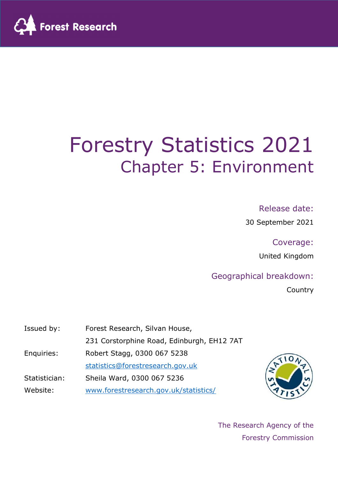

# Forestry Statistics 2021 Chapter 5: Environment

### Release date:

30 September 2021

Coverage:

United Kingdom

### Geographical breakdown:

Country

| Issued by:    | Forest Research, Silvan House,             |  |  |  |
|---------------|--------------------------------------------|--|--|--|
|               | 231 Corstorphine Road, Edinburgh, EH12 7AT |  |  |  |
| Enquiries:    | Robert Stagg, 0300 067 5238                |  |  |  |
|               | statistics@forestresearch.gov.uk           |  |  |  |
| Statistician: | Sheila Ward, 0300 067 5236                 |  |  |  |
| Website:      | www.forestresearch.gov.uk/statistics/      |  |  |  |



The Research Agency of the Forestry Commission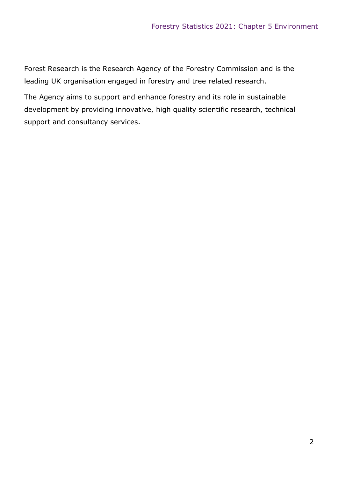Forest Research is the Research Agency of the Forestry Commission and is the leading UK organisation engaged in forestry and tree related research.

The Agency aims to support and enhance forestry and its role in sustainable development by providing innovative, high quality scientific research, technical support and consultancy services.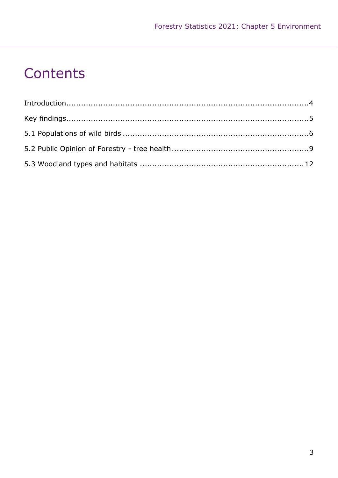## Contents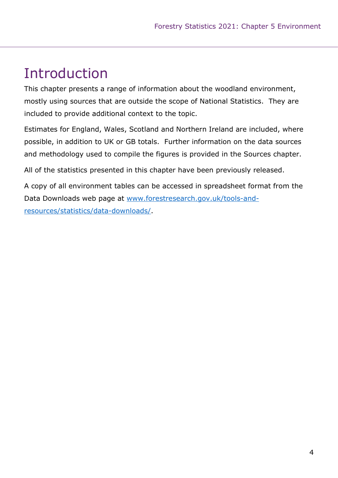## Introduction

This chapter presents a range of information about the woodland environment, mostly using sources that are outside the scope of National Statistics. They are included to provide additional context to the topic.

Estimates for England, Wales, Scotland and Northern Ireland are included, where possible, in addition to UK or GB totals. Further information on the data sources and methodology used to compile the figures is provided in the Sources chapter.

All of the statistics presented in this chapter have been previously released.

A copy of all environment tables can be accessed in spreadsheet format from the Data Downloads web page at www.forestresearch.gov.uk/tools-andresources/statistics/data-downloads/.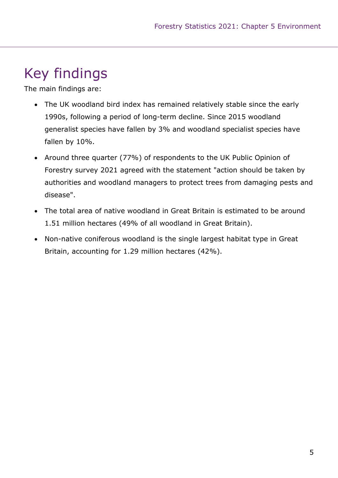## Key findings

The main findings are:

- The UK woodland bird index has remained relatively stable since the early 1990s, following a period of long-term decline. Since 2015 woodland generalist species have fallen by 3% and woodland specialist species have fallen by 10%.
- Around three quarter (77%) of respondents to the UK Public Opinion of Forestry survey 2021 agreed with the statement "action should be taken by authorities and woodland managers to protect trees from damaging pests and disease".
- The total area of native woodland in Great Britain is estimated to be around 1.51 million hectares (49% of all woodland in Great Britain).
- Non-native coniferous woodland is the single largest habitat type in Great Britain, accounting for 1.29 million hectares (42%).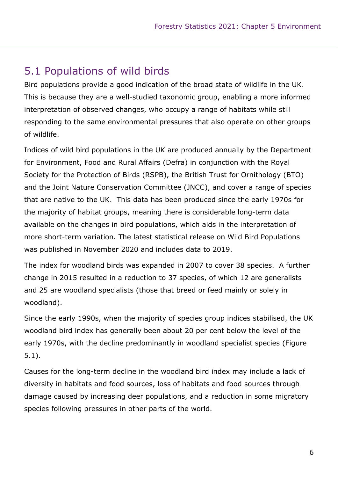### 5.1 Populations of wild birds

Bird populations provide a good indication of the broad state of wildlife in the UK. This is because they are a well-studied taxonomic group, enabling a more informed interpretation of observed changes, who occupy a range of habitats while still responding to the same environmental pressures that also operate on other groups of wildlife.

Indices of wild bird populations in the UK are produced annually by the Department for Environment, Food and Rural Affairs (Defra) in conjunction with the Royal Society for the Protection of Birds (RSPB), the British Trust for Ornithology (BTO) and the Joint Nature Conservation Committee (JNCC), and cover a range of species that are native to the UK. This data has been produced since the early 1970s for the majority of habitat groups, meaning there is considerable long-term data available on the changes in bird populations, which aids in the interpretation of more short-term variation. The latest statistical release on Wild Bird Populations was published in November 2020 and includes data to 2019.

The index for woodland birds was expanded in 2007 to cover 38 species. A further change in 2015 resulted in a reduction to 37 species, of which 12 are generalists and 25 are woodland specialists (those that breed or feed mainly or solely in woodland).

Since the early 1990s, when the majority of species group indices stabilised, the UK woodland bird index has generally been about 20 per cent below the level of the early 1970s, with the decline predominantly in woodland specialist species (Figure 5.1).

Causes for the long-term decline in the woodland bird index may include a lack of diversity in habitats and food sources, loss of habitats and food sources through damage caused by increasing deer populations, and a reduction in some migratory species following pressures in other parts of the world.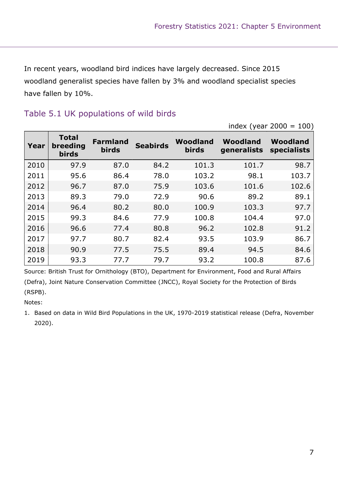In recent years, woodland bird indices have largely decreased. Since 2015 woodland generalist species have fallen by 3% and woodland specialist species have fallen by 10%.

|      |                                          |                                 |                 |                          | index (year $2000 = 100$ ) |                         |  |
|------|------------------------------------------|---------------------------------|-----------------|--------------------------|----------------------------|-------------------------|--|
| Year | <b>Total</b><br>breeding<br><b>birds</b> | <b>Farmland</b><br><b>birds</b> | <b>Seabirds</b> | Woodland<br><b>birds</b> | Woodland<br>generalists    | Woodland<br>specialists |  |
| 2010 | 97.9                                     | 87.0                            | 84.2            | 101.3                    | 101.7                      | 98.7                    |  |
| 2011 | 95.6                                     | 86.4                            | 78.0            | 103.2                    | 98.1                       | 103.7                   |  |
| 2012 | 96.7                                     | 87.0                            | 75.9            | 103.6                    | 101.6                      | 102.6                   |  |
| 2013 | 89.3                                     | 79.0                            | 72.9            | 90.6                     | 89.2                       | 89.1                    |  |
| 2014 | 96.4                                     | 80.2                            | 80.0            | 100.9                    | 103.3                      | 97.7                    |  |
| 2015 | 99.3                                     | 84.6                            | 77.9            | 100.8                    | 104.4                      | 97.0                    |  |
| 2016 | 96.6                                     | 77.4                            | 80.8            | 96.2                     | 102.8                      | 91.2                    |  |
| 2017 | 97.7                                     | 80.7                            | 82.4            | 93.5                     | 103.9                      | 86.7                    |  |
| 2018 | 90.9                                     | 77.5                            | 75.5            | 89.4                     | 94.5                       | 84.6                    |  |
| 2019 | 93.3                                     | 77.7                            | 79.7            | 93.2                     | 100.8                      | 87.6                    |  |

### Table 5.1 UK populations of wild birds

Source: British Trust for Ornithology (BTO), Department for Environment, Food and Rural Affairs (Defra), Joint Nature Conservation Committee (JNCC), Royal Society for the Protection of Birds (RSPB).

Notes:

1. Based on data in Wild Bird Populations in the UK, 1970-2019 statistical release (Defra, November 2020).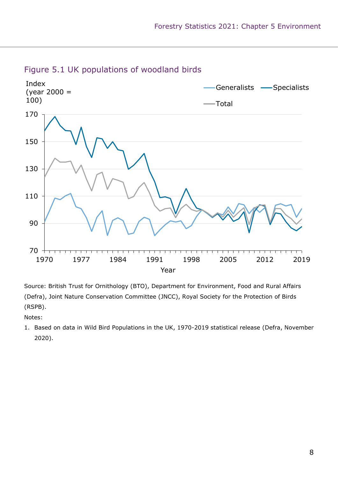

### Figure 5.1 UK populations of woodland birds

Source: British Trust for Ornithology (BTO), Department for Environment, Food and Rural Affairs (Defra), Joint Nature Conservation Committee (JNCC), Royal Society for the Protection of Birds (RSPB).

Notes:

1. Based on data in Wild Bird Populations in the UK, 1970-2019 statistical release (Defra, November 2020).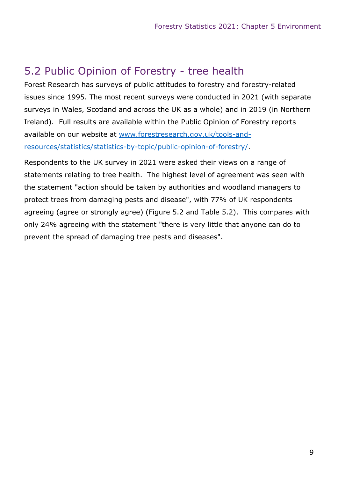### 5.2 Public Opinion of Forestry - tree health

Forest Research has surveys of public attitudes to forestry and forestry-related issues since 1995. The most recent surveys were conducted in 2021 (with separate surveys in Wales, Scotland and across the UK as a whole) and in 2019 (in Northern Ireland). Full results are available within the Public Opinion of Forestry reports available on our website at www.forestresearch.gov.uk/tools-andresources/statistics/statistics-by-topic/public-opinion-of-forestry/.

Respondents to the UK survey in 2021 were asked their views on a range of statements relating to tree health. The highest level of agreement was seen with the statement "action should be taken by authorities and woodland managers to protect trees from damaging pests and disease", with 77% of UK respondents agreeing (agree or strongly agree) (Figure 5.2 and Table 5.2). This compares with only 24% agreeing with the statement "there is very little that anyone can do to prevent the spread of damaging tree pests and diseases".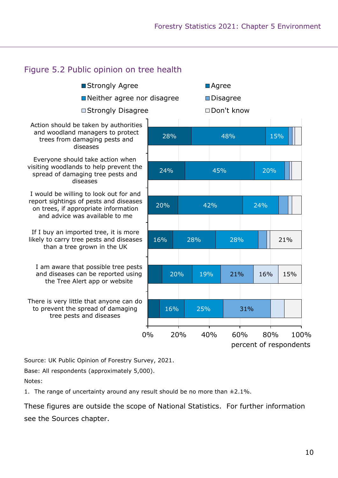

Source: UK Public Opinion of Forestry Survey, 2021.

Base: All respondents (approximately 5,000).

Notes:

1. The range of uncertainty around any result should be no more than  $\pm 2.1\%$ .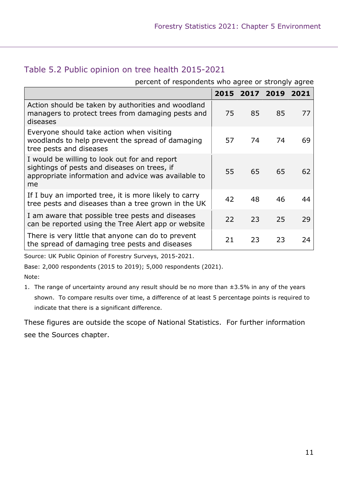### Table 5.2 Public opinion on tree health 2015-2021

#### percent of respondents who agree or strongly agree

|                                                                                                                                                            | 2015 |    | 2017 2019 |    |
|------------------------------------------------------------------------------------------------------------------------------------------------------------|------|----|-----------|----|
| Action should be taken by authorities and woodland<br>managers to protect trees from damaging pests and<br>diseases                                        | 75   | 85 | 85        | 77 |
| Everyone should take action when visiting<br>woodlands to help prevent the spread of damaging<br>tree pests and diseases                                   | 57   | 74 | 74        | 69 |
| I would be willing to look out for and report<br>sightings of pests and diseases on trees, if<br>appropriate information and advice was available to<br>me | 55   | 65 | 65        | 62 |
| If I buy an imported tree, it is more likely to carry<br>tree pests and diseases than a tree grown in the UK                                               | 42   | 48 | 46        | 44 |
| I am aware that possible tree pests and diseases<br>can be reported using the Tree Alert app or website                                                    | 22   | 23 | 25        | 29 |
| There is very little that anyone can do to prevent<br>the spread of damaging tree pests and diseases                                                       | 21   | 23 | 23        | 24 |

Source: UK Public Opinion of Forestry Surveys, 2015-2021.

Base: 2,000 respondents (2015 to 2019); 5,000 respondents (2021).

Note:

1. The range of uncertainty around any result should be no more than  $\pm 3.5$ % in any of the years shown. To compare results over time, a difference of at least 5 percentage points is required to indicate that there is a significant difference.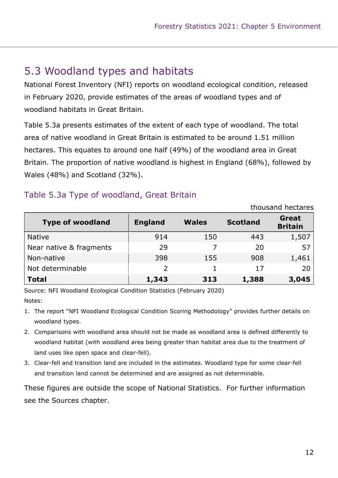### 5.3 Woodland types and habitats

National Forest Inventory (NFI) reports on woodland ecological condition, released in February 2020, provide estimates of the areas of woodland types and of woodland habitats in Great Britain.

Table 5.3a presents estimates of the extent of each type of woodland. The total area of native woodland in Great Britain is estimated to be around 1.51 million hectares. This equates to around one half (49%) of the woodland area in Great Britain. The proportion of native woodland is highest in England (68%), followed by Wales (48%) and Scotland (32%).

### Table 5.3a Type of woodland, Great Britain

|                         | thousand hectares |              |                 |                         |  |
|-------------------------|-------------------|--------------|-----------------|-------------------------|--|
| <b>Type of woodland</b> | <b>England</b>    | <b>Wales</b> | <b>Scotland</b> | Great<br><b>Britain</b> |  |
| <b>Native</b>           | 914               | 150          | 443             | 1,507                   |  |
| Near native & fragments | 29                |              | 20              | 57                      |  |
| Non-native              | 398               | 155          | 908             | 1,461                   |  |
| Not determinable        | $\overline{2}$    |              | 17              | 20                      |  |
| <b>Total</b>            | 1,343             | 313          | 1,388           | 3,045                   |  |

Source: NFI Woodland Ecological Condition Statistics (February 2020) Notes:

- 1. The report "NFI Woodland Ecological Condition Scoring Methodology" provides further details on woodland types.
- 2. Comparisons with woodland area should not be made as woodland area is defined differently to woodland habitat (with woodland area being greater than habitat area due to the treatment of land uses like open space and clear-fell).
- 3. Clear-fell and transition land are included in the estimates. Woodland type for some clear-fell and transition land cannot be determined and are assigned as not determinable.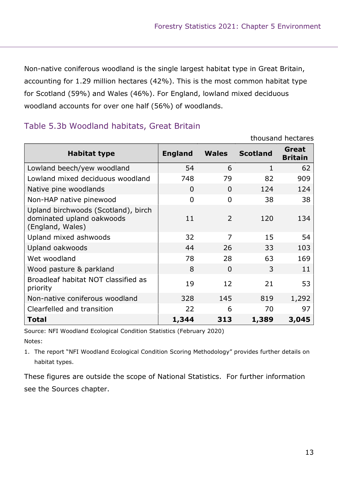Non-native coniferous woodland is the single largest habitat type in Great Britain, accounting for 1.29 million hectares (42%). This is the most common habitat type for Scotland (59%) and Wales (46%). For England, lowland mixed deciduous woodland accounts for over one half (56%) of woodlands.

### Table 5.3b Woodland habitats, Great Britain

|                                                                                      |                |                | thousand hectares |                         |  |  |
|--------------------------------------------------------------------------------------|----------------|----------------|-------------------|-------------------------|--|--|
| Habitat type                                                                         | <b>England</b> | <b>Wales</b>   | <b>Scotland</b>   | Great<br><b>Britain</b> |  |  |
| Lowland beech/yew woodland                                                           | 54             | 6              | 1                 | 62                      |  |  |
| Lowland mixed deciduous woodland                                                     | 748            | 79             | 82                | 909                     |  |  |
| Native pine woodlands                                                                | $\Omega$       | $\Omega$       | 124               | 124                     |  |  |
| Non-HAP native pinewood                                                              | $\Omega$       | $\overline{0}$ | 38                | 38                      |  |  |
| Upland birchwoods (Scotland), birch<br>dominated upland oakwoods<br>(England, Wales) | 11             | $\overline{2}$ | 120               | 134                     |  |  |
| Upland mixed ashwoods                                                                | 32             | $\overline{7}$ | 15                | 54                      |  |  |
| Upland oakwoods                                                                      | 44             | 26             | 33                | 103                     |  |  |
| Wet woodland                                                                         | 78             | 28             | 63                | 169                     |  |  |
| Wood pasture & parkland                                                              | 8              | $\Omega$       | 3                 | 11                      |  |  |
| Broadleaf habitat NOT classified as<br>priority                                      | 19             | 12             | 21                | 53                      |  |  |
| Non-native coniferous woodland                                                       | 328            | 145            | 819               | 1,292                   |  |  |
| Clearfelled and transition                                                           | 22             | 6              | 70                | 97                      |  |  |
| <b>Total</b>                                                                         | 1,344          | 313            | 1,389             | 3,045                   |  |  |

Source: NFI Woodland Ecological Condition Statistics (February 2020)

Notes:

1. The report "NFI Woodland Ecological Condition Scoring Methodology" provides further details on habitat types.